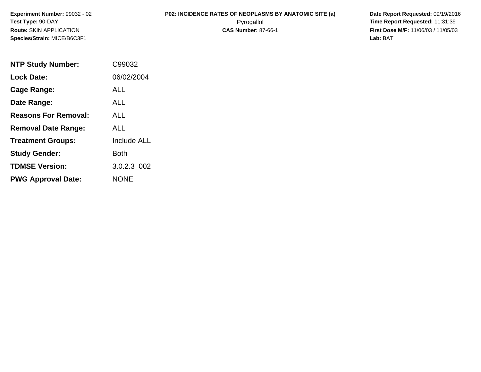**Experiment Number:** 99032 - 02**Test Type:** 90-DAY**Route:** SKIN APPLICATION**Species/Strain:** MICE/B6C3F1

# **P02: INCIDENCE RATES OF NEOPLASMS BY ANATOMIC SITE (a)** Date Report Requested: 09/19/2016<br>Pyrogallol **Prime Report Requested:** 11:31:39

 Pyrogallol **Time Report Requested:** 11:31:39 **First Dose M/F:** 11/06/03 / 11/05/03<br>Lab: BAT **Lab:** BAT

| <b>NTP Study Number:</b>    | C99032             |
|-----------------------------|--------------------|
| <b>Lock Date:</b>           | 06/02/2004         |
| Cage Range:                 | ALL                |
| Date Range:                 | ALL.               |
| <b>Reasons For Removal:</b> | ALL.               |
| <b>Removal Date Range:</b>  | ALL                |
| <b>Treatment Groups:</b>    | <b>Include ALL</b> |
| <b>Study Gender:</b>        | Both               |
| <b>TDMSE Version:</b>       | 3.0.2.3 002        |
| <b>PWG Approval Date:</b>   | <b>NONE</b>        |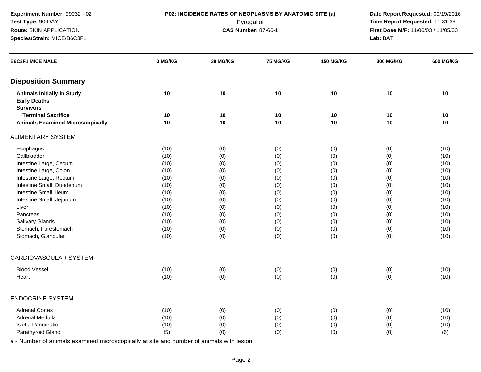**Experiment Number:** 99032 - 02**Test Type:** 90-DAY**Route:** SKIN APPLICATION

# **Species/Strain:** MICE/B6C3F1

**P02: INCIDENCE RATES OF NEOPLASMS BY ANATOMIC SITE (a)** Date Report Requested: 09/19/2016<br>Pyrogallol **Price Report Requested:** 11:31:39 Pyrogallol **Time Report Requested:** 11:31:39 **First Dose M/F:** 11/06/03 / 11/05/03<br>**Lab:** BAT **Lab:** BAT

| <b>B6C3F1 MICE MALE</b>                                                      | 0 MG/KG | 38 MG/KG | 75 MG/KG | <b>150 MG/KG</b> | <b>300 MG/KG</b> | <b>600 MG/KG</b> |
|------------------------------------------------------------------------------|---------|----------|----------|------------------|------------------|------------------|
| <b>Disposition Summary</b>                                                   |         |          |          |                  |                  |                  |
| <b>Animals Initially In Study</b><br><b>Early Deaths</b><br><b>Survivors</b> | 10      | 10       | 10       | 10               | 10               | 10               |
| <b>Terminal Sacrifice</b>                                                    | 10      | 10       | 10       | 10               | 10               | 10               |
| <b>Animals Examined Microscopically</b>                                      | 10      | 10       | 10       | 10               | 10               | 10               |
| <b>ALIMENTARY SYSTEM</b>                                                     |         |          |          |                  |                  |                  |
| Esophagus                                                                    | (10)    | (0)      | (0)      | (0)              | (0)              | (10)             |
| Gallbladder                                                                  | (10)    | (0)      | (0)      | (0)              | (0)              | (10)             |
| Intestine Large, Cecum                                                       | (10)    | (0)      | (0)      | (0)              | (0)              | (10)             |
| Intestine Large, Colon                                                       | (10)    | (0)      | (0)      | (0)              | (0)              | (10)             |
| Intestine Large, Rectum                                                      | (10)    | (0)      | (0)      | (0)              | (0)              | (10)             |
| Intestine Small, Duodenum                                                    | (10)    | (0)      | (0)      | (0)              | (0)              | (10)             |
| Intestine Small, Ileum                                                       | (10)    | (0)      | (0)      | (0)              | (0)              | (10)             |
| Intestine Small, Jejunum                                                     | (10)    | (0)      | (0)      | (0)              | (0)              | (10)             |
| Liver                                                                        | (10)    | (0)      | (0)      | (0)              | (0)              | (10)             |
| Pancreas                                                                     | (10)    | (0)      | (0)      | (0)              | (0)              | (10)             |
| Salivary Glands                                                              | (10)    | (0)      | (0)      | (0)              | (0)              | (10)             |
| Stomach, Forestomach                                                         | (10)    | (0)      | (0)      | (0)              | (0)              | (10)             |
| Stomach, Glandular                                                           | (10)    | (0)      | (0)      | (0)              | (0)              | (10)             |
| <b>CARDIOVASCULAR SYSTEM</b>                                                 |         |          |          |                  |                  |                  |
| <b>Blood Vessel</b>                                                          | (10)    | (0)      | (0)      | (0)              | (0)              | (10)             |
| Heart                                                                        | (10)    | (0)      | (0)      | (0)              | (0)              | (10)             |
| <b>ENDOCRINE SYSTEM</b>                                                      |         |          |          |                  |                  |                  |
| <b>Adrenal Cortex</b>                                                        |         |          |          |                  |                  |                  |
| Adrenal Medulla                                                              | (10)    | (0)      | (0)      | (0)              | (0)              | (10)             |
|                                                                              | (10)    | (0)      | (0)      | (0)              | (0)              | (10)             |
| Islets, Pancreatic                                                           | (10)    | (0)      | (0)      | (0)              | (0)              | (10)             |
| Parathyroid Gland                                                            | (5)     | (0)      | (0)      | (0)              | (0)              | (6)              |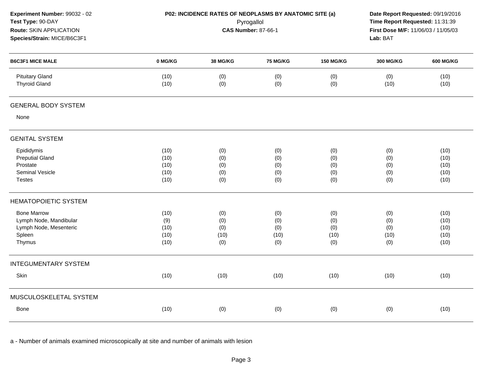| Experiment Number: 99032 - 02<br>Test Type: 90-DAY<br>Route: SKIN APPLICATION<br>Species/Strain: MICE/B6C3F1 |              | P02: INCIDENCE RATES OF NEOPLASMS BY ANATOMIC SITE (a) | Pyrogallol<br><b>CAS Number: 87-66-1</b> |                  | Date Report Requested: 09/19/2016<br>Time Report Requested: 11:31:39<br>First Dose M/F: 11/06/03 / 11/05/03<br>Lab: BAT |                  |
|--------------------------------------------------------------------------------------------------------------|--------------|--------------------------------------------------------|------------------------------------------|------------------|-------------------------------------------------------------------------------------------------------------------------|------------------|
| <b>B6C3F1 MICE MALE</b>                                                                                      | 0 MG/KG      | 38 MG/KG                                               | <b>75 MG/KG</b>                          | <b>150 MG/KG</b> | <b>300 MG/KG</b>                                                                                                        | <b>600 MG/KG</b> |
| <b>Pituitary Gland</b><br><b>Thyroid Gland</b>                                                               | (10)<br>(10) | (0)<br>(0)                                             | (0)<br>(0)                               | (0)<br>(0)       | (0)<br>(10)                                                                                                             | (10)<br>(10)     |
| <b>GENERAL BODY SYSTEM</b>                                                                                   |              |                                                        |                                          |                  |                                                                                                                         |                  |
| None                                                                                                         |              |                                                        |                                          |                  |                                                                                                                         |                  |
| <b>GENITAL SYSTEM</b>                                                                                        |              |                                                        |                                          |                  |                                                                                                                         |                  |
| Epididymis                                                                                                   | (10)         | (0)                                                    | (0)                                      | (0)              | (0)                                                                                                                     | (10)             |
| <b>Preputial Gland</b>                                                                                       | (10)         | (0)                                                    | (0)                                      | (0)              | (0)                                                                                                                     | (10)             |
| Prostate                                                                                                     | (10)         | (0)                                                    | (0)                                      | (0)              | (0)                                                                                                                     | (10)             |
| Seminal Vesicle                                                                                              | (10)         | (0)                                                    | (0)                                      | (0)              | (0)                                                                                                                     | (10)             |
| <b>Testes</b>                                                                                                | (10)         | (0)                                                    | (0)                                      | (0)              | (0)                                                                                                                     | (10)             |
| <b>HEMATOPOIETIC SYSTEM</b>                                                                                  |              |                                                        |                                          |                  |                                                                                                                         |                  |
| <b>Bone Marrow</b>                                                                                           | (10)         | (0)                                                    | (0)                                      | (0)              | (0)                                                                                                                     | (10)             |
| Lymph Node, Mandibular                                                                                       | (9)          | (0)                                                    | (0)                                      | (0)              | (0)                                                                                                                     | (10)             |
| Lymph Node, Mesenteric                                                                                       | (10)         | (0)                                                    | (0)                                      | (0)              | (0)                                                                                                                     | (10)             |
| Spleen                                                                                                       | (10)         | (10)                                                   | (10)                                     | (10)             | (10)                                                                                                                    | (10)             |
| Thymus                                                                                                       | (10)         | (0)                                                    | (0)                                      | (0)              | (0)                                                                                                                     | (10)             |
| <b>INTEGUMENTARY SYSTEM</b>                                                                                  |              |                                                        |                                          |                  |                                                                                                                         |                  |
| Skin                                                                                                         | (10)         | (10)                                                   | (10)                                     | (10)             | (10)                                                                                                                    | (10)             |
| MUSCULOSKELETAL SYSTEM                                                                                       |              |                                                        |                                          |                  |                                                                                                                         |                  |
| Bone                                                                                                         | (10)         | (0)                                                    | (0)                                      | (0)              | (0)                                                                                                                     | (10)             |
|                                                                                                              |              |                                                        |                                          |                  |                                                                                                                         |                  |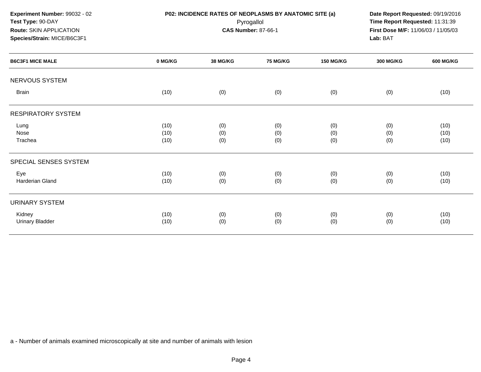NERVOUS SYSTEMBrainn (10) (10) (0) (0) (0) (0) (0) (0) (0) (0) (10) RESPIRATORY SYSTEMLungg (10) (10) (0) (0) (0) (0) (0) (0) (0) (0) (10) Nosee (10) (0) (0) (0) (0) (0) (0) (0) (0) (10) **Trachea** a (10) (0) (0) (0) (0) (0) (0) (0) (0) (10) SPECIAL SENSES SYSTEMEyee (10) (10) (0) (0) (0) (0) (0) (0) (0) (10) Harderian Glandd (10) (0) (0) (0) (0) (0) (0) (0) (10) URINARY SYSTEMKidney (10) (0) (0) (0) (0) (10) Urinary Bladder (10) (0) (0) (0) (0) (10) **Experiment Number:** 99032 - 02**P02: INCIDENCE RATES OF NEOPLASMS BY ANATOMIC SITE (a)** Date Report Requested: 09/19/2016<br>Pyrogallol **Prime Report Requested:** 11:31:39 **Test Type:** 90-DAY Pyrogallol **Time Report Requested:** 11:31:39 **Route:** SKIN APPLICATION**First Dose M/F:** 11/06/03 / 11/05/03<br>**Lab:** BAT **Species/Strain:** MICE/B6C3F1 **Lab:** BAT**B6C3F1 MICE MALE 0 MG/KG38 MG/KG 75 MG/KG 150 MG/KG 300 MG/KG 600 MG/KG**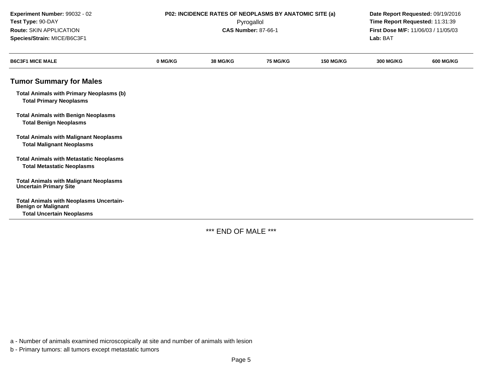| Experiment Number: 99032 - 02<br>Test Type: 90-DAY<br>Route: SKIN APPLICATION<br>Species/Strain: MICE/B6C3F1     | P02: INCIDENCE RATES OF NEOPLASMS BY ANATOMIC SITE (a)<br>Pyrogallol<br><b>CAS Number: 87-66-1</b> |                 |                 |                  | Date Report Requested: 09/19/2016<br>Time Report Requested: 11:31:39<br>First Dose M/F: 11/06/03 / 11/05/03<br>Lab: BAT |                  |
|------------------------------------------------------------------------------------------------------------------|----------------------------------------------------------------------------------------------------|-----------------|-----------------|------------------|-------------------------------------------------------------------------------------------------------------------------|------------------|
| <b>B6C3F1 MICE MALE</b>                                                                                          | 0 MG/KG                                                                                            | <b>38 MG/KG</b> | <b>75 MG/KG</b> | <b>150 MG/KG</b> | <b>300 MG/KG</b>                                                                                                        | <b>600 MG/KG</b> |
| <b>Tumor Summary for Males</b>                                                                                   |                                                                                                    |                 |                 |                  |                                                                                                                         |                  |
| <b>Total Animals with Primary Neoplasms (b)</b><br><b>Total Primary Neoplasms</b>                                |                                                                                                    |                 |                 |                  |                                                                                                                         |                  |
| <b>Total Animals with Benign Neoplasms</b><br><b>Total Benign Neoplasms</b>                                      |                                                                                                    |                 |                 |                  |                                                                                                                         |                  |
| <b>Total Animals with Malignant Neoplasms</b><br><b>Total Malignant Neoplasms</b>                                |                                                                                                    |                 |                 |                  |                                                                                                                         |                  |
| <b>Total Animals with Metastatic Neoplasms</b><br><b>Total Metastatic Neoplasms</b>                              |                                                                                                    |                 |                 |                  |                                                                                                                         |                  |
| <b>Total Animals with Malignant Neoplasms</b><br><b>Uncertain Primary Site</b>                                   |                                                                                                    |                 |                 |                  |                                                                                                                         |                  |
| <b>Total Animals with Neoplasms Uncertain-</b><br><b>Benign or Malignant</b><br><b>Total Uncertain Neoplasms</b> |                                                                                                    |                 |                 |                  |                                                                                                                         |                  |

\*\*\* END OF MALE \*\*\*

a - Number of animals examined microscopically at site and number of animals with lesion

b - Primary tumors: all tumors except metastatic tumors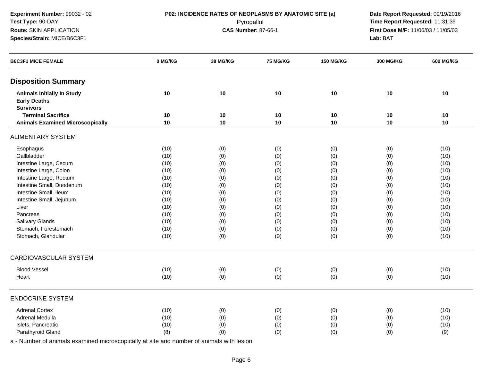**Experiment Number:** 99032 - 02**Test Type:** 90-DAY**Route:** SKIN APPLICATION

# **Species/Strain:** MICE/B6C3F1

**P02: INCIDENCE RATES OF NEOPLASMS BY ANATOMIC SITE (a)** Date Report Requested: 09/19/2016<br>Pyrogallol **Price Report Requested:** 11:31:39 Pyrogallol **Time Report Requested:** 11:31:39 **First Dose M/F:** 11/06/03 / 11/05/03<br>**Lab:** BAT **Lab:** BAT

| <b>B6C3F1 MICE FEMALE</b>                                                    | 0 MG/KG | 38 MG/KG | 75 MG/KG | <b>150 MG/KG</b> | 300 MG/KG | <b>600 MG/KG</b> |
|------------------------------------------------------------------------------|---------|----------|----------|------------------|-----------|------------------|
| <b>Disposition Summary</b>                                                   |         |          |          |                  |           |                  |
| <b>Animals Initially In Study</b><br><b>Early Deaths</b><br><b>Survivors</b> | 10      | 10       | 10       | 10               | 10        | 10               |
| <b>Terminal Sacrifice</b>                                                    | 10      | 10       | 10       | 10               | 10        | 10               |
| <b>Animals Examined Microscopically</b>                                      | 10      | 10       | 10       | 10               | 10        | 10               |
| <b>ALIMENTARY SYSTEM</b>                                                     |         |          |          |                  |           |                  |
| Esophagus                                                                    | (10)    | (0)      | (0)      | (0)              | (0)       | (10)             |
| Gallbladder                                                                  | (10)    | (0)      | (0)      | (0)              | (0)       | (10)             |
| Intestine Large, Cecum                                                       | (10)    | (0)      | (0)      | (0)              | (0)       | (10)             |
| Intestine Large, Colon                                                       | (10)    | (0)      | (0)      | (0)              | (0)       | (10)             |
| Intestine Large, Rectum                                                      | (10)    | (0)      | (0)      | (0)              | (0)       | (10)             |
| Intestine Small, Duodenum                                                    | (10)    | (0)      | (0)      | (0)              | (0)       | (10)             |
| Intestine Small, Ileum                                                       | (10)    | (0)      | (0)      | (0)              | (0)       | (10)             |
| Intestine Small, Jejunum                                                     | (10)    | (0)      | (0)      | (0)              | (0)       | (10)             |
| Liver                                                                        | (10)    | (0)      | (0)      | (0)              | (0)       | (10)             |
| Pancreas                                                                     | (10)    | (0)      | (0)      | (0)              | (0)       | (10)             |
| Salivary Glands                                                              | (10)    | (0)      | (0)      | (0)              | (0)       | (10)             |
| Stomach, Forestomach                                                         | (10)    | (0)      | (0)      | (0)              | (0)       | (10)             |
| Stomach, Glandular                                                           | (10)    | (0)      | (0)      | (0)              | (0)       | (10)             |
| <b>CARDIOVASCULAR SYSTEM</b>                                                 |         |          |          |                  |           |                  |
| <b>Blood Vessel</b>                                                          | (10)    | (0)      | (0)      | (0)              | (0)       | (10)             |
| Heart                                                                        | (10)    | (0)      | (0)      | (0)              | (0)       | (10)             |
| <b>ENDOCRINE SYSTEM</b>                                                      |         |          |          |                  |           |                  |
| <b>Adrenal Cortex</b>                                                        | (10)    | (0)      | (0)      | (0)              | (0)       | (10)             |
| Adrenal Medulla                                                              | (10)    | (0)      | (0)      | (0)              | (0)       | (10)             |
| Islets, Pancreatic                                                           | (10)    | (0)      | (0)      | (0)              | (0)       | (10)             |
| Parathyroid Gland                                                            | (8)     | (0)      | (0)      | (0)              | (0)       | (9)              |
|                                                                              |         |          |          |                  |           |                  |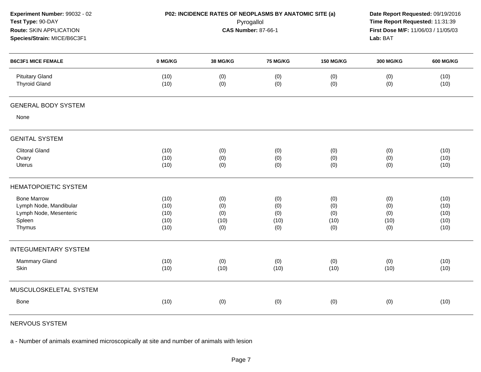| Experiment Number: 99032 - 02<br>Test Type: 90-DAY<br>Route: SKIN APPLICATION<br>Species/Strain: MICE/B6C3F1 |              | P02: INCIDENCE RATES OF NEOPLASMS BY ANATOMIC SITE (a) | Pyrogallol<br><b>CAS Number: 87-66-1</b> |                  | Date Report Requested: 09/19/2016<br>Time Report Requested: 11:31:39<br>First Dose M/F: 11/06/03 / 11/05/03<br>Lab: BAT |                  |
|--------------------------------------------------------------------------------------------------------------|--------------|--------------------------------------------------------|------------------------------------------|------------------|-------------------------------------------------------------------------------------------------------------------------|------------------|
| <b>B6C3F1 MICE FEMALE</b>                                                                                    | 0 MG/KG      | 38 MG/KG                                               | <b>75 MG/KG</b>                          | <b>150 MG/KG</b> | <b>300 MG/KG</b>                                                                                                        | <b>600 MG/KG</b> |
| <b>Pituitary Gland</b><br><b>Thyroid Gland</b>                                                               | (10)<br>(10) | (0)<br>(0)                                             | (0)<br>(0)                               | (0)<br>(0)       | (0)<br>(0)                                                                                                              | (10)<br>(10)     |
| <b>GENERAL BODY SYSTEM</b>                                                                                   |              |                                                        |                                          |                  |                                                                                                                         |                  |
| None                                                                                                         |              |                                                        |                                          |                  |                                                                                                                         |                  |
| <b>GENITAL SYSTEM</b>                                                                                        |              |                                                        |                                          |                  |                                                                                                                         |                  |
| <b>Clitoral Gland</b>                                                                                        | (10)         | (0)                                                    | (0)                                      | (0)              | (0)                                                                                                                     | (10)             |
| Ovary                                                                                                        | (10)         | (0)                                                    | (0)                                      | (0)              | (0)                                                                                                                     | (10)             |
| Uterus                                                                                                       | (10)         | (0)                                                    | (0)                                      | (0)              | (0)                                                                                                                     | (10)             |
| <b>HEMATOPOIETIC SYSTEM</b>                                                                                  |              |                                                        |                                          |                  |                                                                                                                         |                  |
| <b>Bone Marrow</b>                                                                                           | (10)         | (0)                                                    | (0)                                      | (0)              | (0)                                                                                                                     | (10)             |
| Lymph Node, Mandibular                                                                                       | (10)         | (0)                                                    | (0)                                      | (0)              | (0)                                                                                                                     | (10)             |
| Lymph Node, Mesenteric                                                                                       | (10)         | (0)                                                    | (0)                                      | (0)              | (0)                                                                                                                     | (10)             |
| Spleen                                                                                                       | (10)         | (10)                                                   | (10)                                     | (10)             | (10)                                                                                                                    | (10)             |
| Thymus                                                                                                       | (10)         | (0)                                                    | (0)                                      | (0)              | (0)                                                                                                                     | (10)             |
| <b>INTEGUMENTARY SYSTEM</b>                                                                                  |              |                                                        |                                          |                  |                                                                                                                         |                  |
| Mammary Gland                                                                                                | (10)         | (0)                                                    | (0)                                      | (0)              | (0)                                                                                                                     | (10)             |
| Skin                                                                                                         | (10)         | (10)                                                   | (10)                                     | (10)             | (10)                                                                                                                    | (10)             |
| MUSCULOSKELETAL SYSTEM                                                                                       |              |                                                        |                                          |                  |                                                                                                                         |                  |
| <b>Bone</b>                                                                                                  | (10)         | (0)                                                    | (0)                                      | (0)              | (0)                                                                                                                     | (10)             |
|                                                                                                              |              |                                                        |                                          |                  |                                                                                                                         |                  |

NERVOUS SYSTEM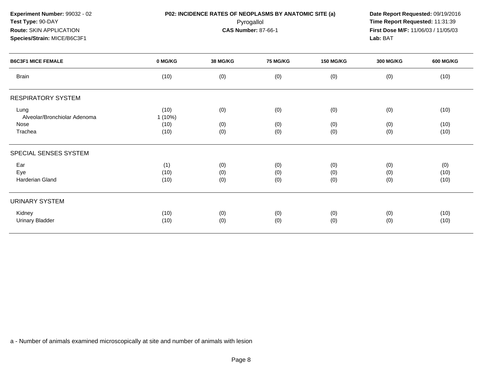**Experiment Number:** 99032 - 02**Test Type:** 90-DAY**Route:** SKIN APPLICATION

# **Species/Strain:** MICE/B6C3F1

**P02: INCIDENCE RATES OF NEOPLASMS BY ANATOMIC SITE (a)** Date Report Requested: 09/19/2016<br>Pyrogallol **Price Report Requested:** 11:31:39 Pyrogallol **Time Report Requested:** 11:31:39 **First Dose M/F:** 11/06/03 / 11/05/03<br>**Lab:** BAT **Lab:** BAT

| <b>B6C3F1 MICE FEMALE</b>            | 0 MG/KG             | <b>38 MG/KG</b>   | <b>75 MG/KG</b>   | <b>150 MG/KG</b>  | <b>300 MG/KG</b>  | <b>600 MG/KG</b>    |
|--------------------------------------|---------------------|-------------------|-------------------|-------------------|-------------------|---------------------|
| <b>Brain</b>                         | (10)                | (0)               | (0)               | (0)               | (0)               | (10)                |
| <b>RESPIRATORY SYSTEM</b>            |                     |                   |                   |                   |                   |                     |
| Lung<br>Alveolar/Bronchiolar Adenoma | (10)<br>$1(10\%)$   | (0)               | (0)               | (0)               | (0)               | (10)                |
| Nose<br>Trachea                      | (10)<br>(10)        | (0)<br>(0)        | (0)<br>(0)        | (0)<br>(0)        | (0)<br>(0)        | (10)<br>(10)        |
| SPECIAL SENSES SYSTEM                |                     |                   |                   |                   |                   |                     |
| Ear<br>Eye<br>Harderian Gland        | (1)<br>(10)<br>(10) | (0)<br>(0)<br>(0) | (0)<br>(0)<br>(0) | (0)<br>(0)<br>(0) | (0)<br>(0)<br>(0) | (0)<br>(10)<br>(10) |
| <b>URINARY SYSTEM</b>                |                     |                   |                   |                   |                   |                     |
| Kidney<br><b>Urinary Bladder</b>     | (10)<br>(10)        | (0)<br>(0)        | (0)<br>(0)        | (0)<br>(0)        | (0)<br>(0)        | (10)<br>(10)        |